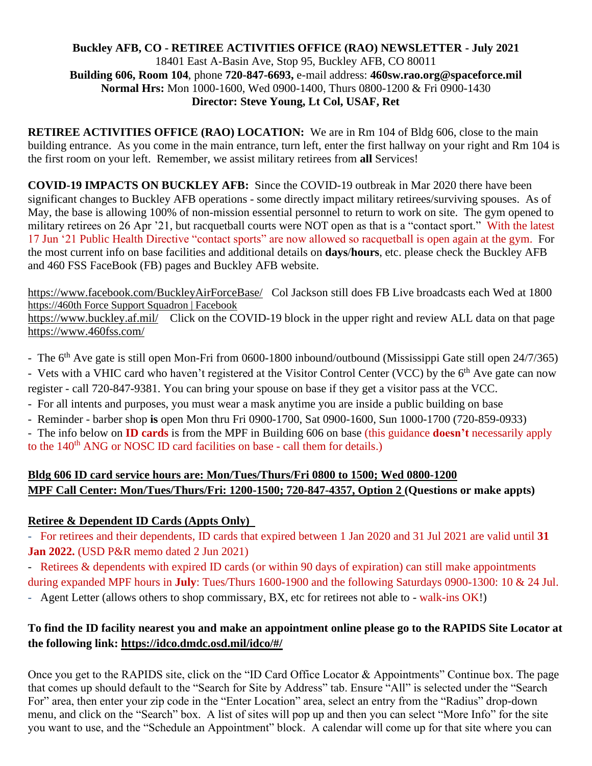#### **Buckley AFB, CO - RETIREE ACTIVITIES OFFICE (RAO) NEWSLETTER - July 2021** 18401 East A-Basin Ave, Stop 95, Buckley AFB, CO 80011 **Building 606, Room 104**, phone **720-847-6693,** e-mail address: **460sw.rao.org@spaceforce.mil Normal Hrs:** Mon 1000-1600, Wed 0900-1400, Thurs 0800-1200 & Fri 0900-1430 **Director: Steve Young, Lt Col, USAF, Ret**

**RETIREE ACTIVITIES OFFICE (RAO) LOCATION:** We are in Rm 104 of Bldg 606, close to the main building entrance. As you come in the main entrance, turn left, enter the first hallway on your right and Rm 104 is the first room on your left. Remember, we assist military retirees from **all** Services!

**COVID-19 IMPACTS ON BUCKLEY AFB:** Since the COVID-19 outbreak in Mar 2020 there have been significant changes to Buckley AFB operations - some directly impact military retirees/surviving spouses. As of May, the base is allowing 100% of non-mission essential personnel to return to work on site. The gym opened to military retirees on 26 Apr '21, but racquetball courts were NOT open as that is a "contact sport." With the latest 17 Jun '21 Public Health Directive "contact sports" are now allowed so racquetball is open again at the gym. For the most current info on base facilities and additional details on **days**/**hours**, etc. please check the Buckley AFB and 460 FSS FaceBook (FB) pages and Buckley AFB website.

<https://www.facebook.com/BuckleyAirForceBase/> Col Jackson still does FB Live broadcasts each Wed at 1800 https://460th Force Support Squadron | Facebook

<https://www.buckley.af.mil/>Click on the COVID-19 block in the upper right and review ALL data on that page <https://www.460fss.com/>

- The 6<sup>th</sup> Ave gate is still open Mon-Fri from 0600-1800 inbound/outbound (Mississippi Gate still open 24/7/365)

- Vets with a VHIC card who haven't registered at the Visitor Control Center (VCC) by the 6<sup>th</sup> Ave gate can now register - call 720-847-9381. You can bring your spouse on base if they get a visitor pass at the VCC.

- For all intents and purposes, you must wear a mask anytime you are inside a public building on base
- Reminder barber shop **is** open Mon thru Fri 0900-1700, Sat 0900-1600, Sun 1000-1700 (720-859-0933)

- The info below on **ID cards** is from the MPF in Building 606 on base (this guidance **doesn't** necessarily apply to the  $140<sup>th</sup>$  ANG or NOSC ID card facilities on base - call them for details.)

## **Bldg 606 ID card service hours are: Mon/Tues/Thurs/Fri 0800 to 1500; Wed 0800-1200 MPF Call Center: Mon/Tues/Thurs/Fri: 1200-1500; 720-847-4357, Option 2 (Questions or make appts)**

## **Retiree & Dependent ID Cards (Appts Only)**

- For retirees and their dependents, ID cards that expired between 1 Jan 2020 and 31 Jul 2021 are valid until **31 Jan 2022.** (USD P&R memo dated 2 Jun 2021)

- Retirees & dependents with expired ID cards (or within 90 days of expiration) can still make appointments during expanded MPF hours in **July**: Tues/Thurs 1600-1900 and the following Saturdays 0900-1300: 10 & 24 Jul.

- Agent Letter (allows others to shop commissary, BX, etc for retirees not able to - walk-ins OK!)

# **To find the ID facility nearest you and make an appointment online please go to the RAPIDS Site Locator at the following link:<https://idco.dmdc.osd.mil/idco/#/>**

Once you get to the RAPIDS site, click on the "ID Card Office Locator & Appointments" Continue box. The page that comes up should default to the "Search for Site by Address" tab. Ensure "All" is selected under the "Search For" area, then enter your zip code in the "Enter Location" area, select an entry from the "Radius" drop-down menu, and click on the "Search" box. A list of sites will pop up and then you can select "More Info" for the site you want to use, and the "Schedule an Appointment" block. A calendar will come up for that site where you can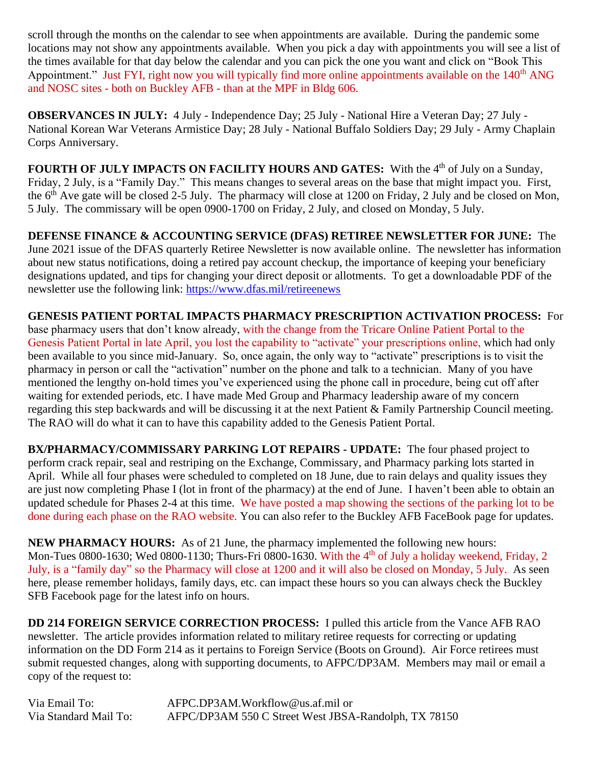scroll through the months on the calendar to see when appointments are available. During the pandemic some locations may not show any appointments available. When you pick a day with appointments you will see a list of the times available for that day below the calendar and you can pick the one you want and click on "Book This Appointment." Just FYI, right now you will typically find more online appointments available on the 140<sup>th</sup> ANG and NOSC sites - both on Buckley AFB - than at the MPF in Bldg 606.

**OBSERVANCES IN JULY:** 4 July - Independence Day; 25 July - National Hire a Veteran Day; 27 July - National Korean War Veterans Armistice Day; 28 July - National Buffalo Soldiers Day; 29 July - Army Chaplain Corps Anniversary.

FOURTH OF JULY IMPACTS ON FACILITY HOURS AND GATES: With the 4<sup>th</sup> of July on a Sunday, Friday, 2 July, is a "Family Day." This means changes to several areas on the base that might impact you. First, the  $6<sup>th</sup>$  Ave gate will be closed 2-5 July. The pharmacy will close at 1200 on Friday, 2 July and be closed on Mon, 5 July. The commissary will be open 0900-1700 on Friday, 2 July, and closed on Monday, 5 July.

**DEFENSE FINANCE & ACCOUNTING SERVICE (DFAS) RETIREE NEWSLETTER FOR JUNE:** The June 2021 issue of the DFAS quarterly Retiree Newsletter is now available online. The newsletter has information about new status notifications, doing a retired pay account checkup, the importance of keeping your beneficiary designations updated, and tips for changing your direct deposit or allotments. To get a downloadable PDF of the newsletter use the following link:<https://www.dfas.mil/retireenews>

**GENESIS PATIENT PORTAL IMPACTS PHARMACY PRESCRIPTION ACTIVATION PROCESS:** For base pharmacy users that don't know already, with the change from the Tricare Online Patient Portal to the Genesis Patient Portal in late April, you lost the capability to "activate" your prescriptions online, which had only been available to you since mid-January. So, once again, the only way to "activate" prescriptions is to visit the pharmacy in person or call the "activation" number on the phone and talk to a technician. Many of you have mentioned the lengthy on-hold times you've experienced using the phone call in procedure, being cut off after waiting for extended periods, etc. I have made Med Group and Pharmacy leadership aware of my concern regarding this step backwards and will be discussing it at the next Patient & Family Partnership Council meeting. The RAO will do what it can to have this capability added to the Genesis Patient Portal.

**BX/PHARMACY/COMMISSARY PARKING LOT REPAIRS - UPDATE:** The four phased project to perform crack repair, seal and restriping on the Exchange, Commissary, and Pharmacy parking lots started in April. While all four phases were scheduled to completed on 18 June, due to rain delays and quality issues they are just now completing Phase I (lot in front of the pharmacy) at the end of June. I haven't been able to obtain an updated schedule for Phases 2-4 at this time. We have posted a map showing the sections of the parking lot to be done during each phase on the RAO website. You can also refer to the Buckley AFB FaceBook page for updates.

**NEW PHARMACY HOURS:** As of 21 June, the pharmacy implemented the following new hours: Mon-Tues 0800-1630; Wed 0800-1130; Thurs-Fri 0800-1630. With the 4<sup>th</sup> of July a holiday weekend, Friday, 2 July, is a "family day" so the Pharmacy will close at 1200 and it will also be closed on Monday, 5 July. As seen here, please remember holidays, family days, etc. can impact these hours so you can always check the Buckley SFB Facebook page for the latest info on hours.

**DD 214 FOREIGN SERVICE CORRECTION PROCESS:** I pulled this article from the Vance AFB RAO newsletter. The article provides information related to military retiree requests for correcting or updating information on the DD Form 214 as it pertains to Foreign Service (Boots on Ground). Air Force retirees must submit requested changes, along with supporting documents, to AFPC/DP3AM. Members may mail or email a copy of the request to:

Via Email To: AFPC.DP3AM.Workflow@us.af.mil or Via Standard Mail To: AFPC/DP3AM 550 C Street West JBSA-Randolph, TX 78150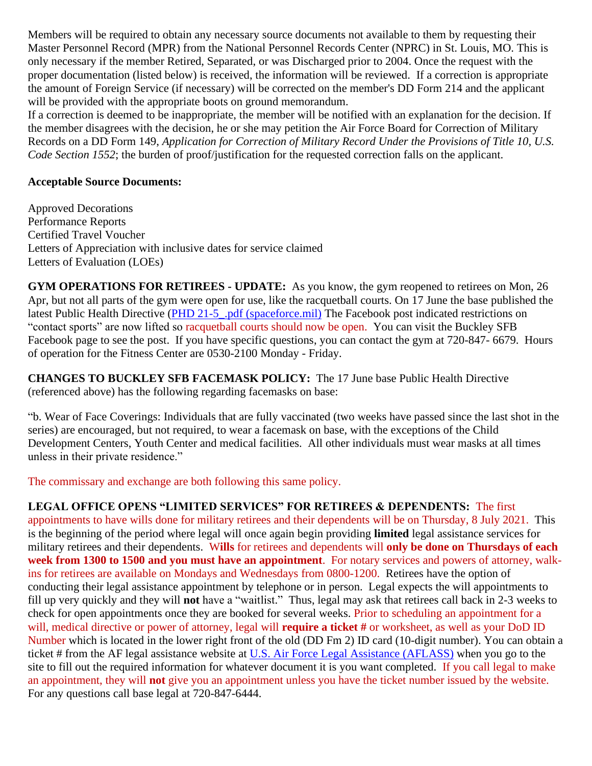Members will be required to obtain any necessary source documents not available to them by requesting their Master Personnel Record (MPR) from the National Personnel Records Center (NPRC) in St. Louis, MO. This is only necessary if the member Retired, Separated, or was Discharged prior to 2004. Once the request with the proper documentation (listed below) is received, the information will be reviewed. If a correction is appropriate the amount of Foreign Service (if necessary) will be corrected on the member's DD Form 214 and the applicant will be provided with the appropriate boots on ground memorandum.

If a correction is deemed to be inappropriate, the member will be notified with an explanation for the decision. If the member disagrees with the decision, he or she may petition the Air Force Board for Correction of Military Records on a DD Form 149, *Application for Correction of Military Record Under the Provisions of Title 10, U.S. Code Section 1552*; the burden of proof/justification for the requested correction falls on the applicant.

#### **Acceptable Source Documents:**

Approved Decorations Performance Reports Certified Travel Voucher Letters of Appreciation with inclusive dates for service claimed Letters of Evaluation (LOEs)

**GYM OPERATIONS FOR RETIREES - UPDATE:** As you know, the gym reopened to retirees on Mon, 26 Apr, but not all parts of the gym were open for use, like the racquetball courts. On 17 June the base published the latest Public Health Directive (PHD 21-5\_pdf (spaceforce.mil) The Facebook post indicated restrictions on "contact sports" are now lifted so racquetball courts should now be open. You can visit the Buckley SFB Facebook page to see the post. If you have specific questions, you can contact the gym at 720-847- 6679. Hours of operation for the Fitness Center are 0530-2100 Monday - Friday.

**CHANGES TO BUCKLEY SFB FACEMASK POLICY:** The 17 June base Public Health Directive (referenced above) has the following regarding facemasks on base:

"b. Wear of Face Coverings: Individuals that are fully vaccinated (two weeks have passed since the last shot in the series) are encouraged, but not required, to wear a facemask on base, with the exceptions of the Child Development Centers, Youth Center and medical facilities. All other individuals must wear masks at all times unless in their private residence."

The commissary and exchange are both following this same policy.

**LEGAL OFFICE OPENS "LIMITED SERVICES" FOR RETIREES & DEPENDENTS:** The first appointments to have wills done for military retirees and their dependents will be on Thursday, 8 July 2021. This is the beginning of the period where legal will once again begin providing **limited** legal assistance services for military retirees and their dependents. W**ills** for retirees and dependents will **only be done on Thursdays of each week from 1300 to 1500 and you must have an appointment**. For notary services and powers of attorney, walkins for retirees are available on Mondays and Wednesdays from 0800-1200. Retirees have the option of conducting their legal assistance appointment by telephone or in person. Legal expects the will appointments to fill up very quickly and they will **not** have a "waitlist." Thus, legal may ask that retirees call back in 2-3 weeks to check for open appointments once they are booked for several weeks. Prior to scheduling an appointment for a will, medical directive or power of attorney, legal will **require a ticket #** or worksheet, as well as your DoD ID Number which is located in the lower right front of the old (DD Fm 2) ID card (10-digit number). You can obtain a ticket # from the AF legal assistance website at [U.S. Air Force Legal Assistance \(AFLASS\)](https://aflegalassistance.law.af.mil/lass/lass.html) when you go to the site to fill out the required information for whatever document it is you want completed. If you call legal to make an appointment, they will **not** give you an appointment unless you have the ticket number issued by the website. For any questions call base legal at 720-847-6444.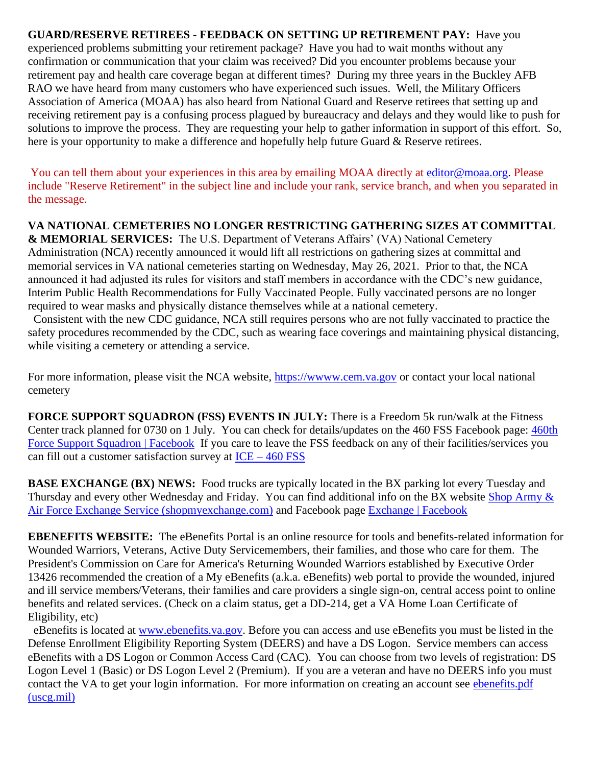**GUARD/RESERVE RETIREES - FEEDBACK ON SETTING UP RETIREMENT PAY:** Have you experienced problems submitting your retirement package? Have you had to wait months without any confirmation or communication that your claim was received? Did you encounter problems because your retirement pay and health care coverage began at different times? During my three years in the Buckley AFB RAO we have heard from many customers who have experienced such issues. Well, the Military Officers Association of America (MOAA) has also heard from National Guard and Reserve retirees that setting up and receiving retirement pay is a confusing process plagued by bureaucracy and delays and they would like to push for solutions to improve the process. They are requesting your help to gather information in support of this effort. So, here is your opportunity to make a difference and hopefully help future Guard & Reserve retirees.

You can tell them about your experiences in this area by emailing MOAA directly at [editor@moaa.org.](mailto:editor@moaa.org?Subject=Reserve%20Retirement) Please include "Reserve Retirement" in the subject line and include your rank, service branch, and when you separated in the message.

**VA NATIONAL CEMETERIES NO LONGER RESTRICTING GATHERING SIZES AT COMMITTAL & MEMORIAL SERVICES:** The U.S. Department of Veterans Affairs' (VA) National Cemetery Administration (NCA) recently announced it would lift all restrictions on gathering sizes at committal and memorial services in VA national cemeteries starting on Wednesday, May 26, 2021. Prior to that, the NCA announced it had adjusted its rules for visitors and staff members in accordance with the CDC's new guidance, Interim Public Health Recommendations for Fully Vaccinated People. Fully vaccinated persons are no longer required to wear masks and physically distance themselves while at a national cemetery.

 Consistent with the new CDC guidance, NCA still requires persons who are not fully vaccinated to practice the safety procedures recommended by the CDC, such as wearing face coverings and maintaining physical distancing, while visiting a cemetery or attending a service.

For more information, please visit the NCA website, https://www.cem.va.gov or contact your local national cemetery

**FORCE SUPPORT SQUADRON (FSS) EVENTS IN JULY:** There is a Freedom 5k run/walk at the Fitness Center track planned for 0730 on 1 July. You can check for details/updates on the 460 FSS Facebook page: [460th](https://www.facebook.com/460FSS/)  [Force Support Squadron | Facebook](https://www.facebook.com/460FSS/) If you care to leave the FSS feedback on any of their facilities/services you can fill out a customer satisfaction survey at  $ICE - 460 FSS$  $ICE - 460 FSS$  $ICE - 460 FSS$ </u>

**BASE EXCHANGE (BX) NEWS:** Food trucks are typically located in the BX parking lot every Tuesday and Thursday and every other Wednesday and Friday. You can find additional info on the BX website [Shop Army &](https://www.shopmyexchange.com/company/storeDetails.jsp?storeId=1078110)  [Air Force Exchange Service \(shopmyexchange.com\)](https://www.shopmyexchange.com/company/storeDetails.jsp?storeId=1078110) and Facebook page [Exchange | Facebook](https://www.facebook.com/BuckleyExchange/)

**EBENEFITS WEBSITE:** The eBenefits Portal is an online resource for tools and benefits-related information for Wounded Warriors, Veterans, Active Duty Servicemembers, their families, and those who care for them. The President's Commission on Care for America's Returning Wounded Warriors established by Executive Order 13426 recommended the creation of a My eBenefits (a.k.a. eBenefits) web portal to provide the wounded, injured and ill service members/Veterans, their families and care providers a single sign-on, central access point to online benefits and related services. (Check on a claim status, get a DD-214, get a VA Home Loan Certificate of Eligibility, etc)

 eBenefits is located at [www.ebenefits.va.gov.](http://www.ebenefits.va.gov/) Before you can access and use eBenefits you must be listed in the Defense Enrollment Eligibility Reporting System (DEERS) and have a DS Logon. Service members can access eBenefits with a DS Logon or Common Access Card (CAC). You can choose from two levels of registration: DS Logon Level 1 (Basic) or DS Logon Level 2 (Premium). If you are a veteran and have no DEERS info you must contact the VA to get your login information. For more information on creating an account see [ebenefits.pdf](https://www.dcms.uscg.mil/Portals/10/CG-1/cg111/docs/TAP/ebenefits.pdf?ver=2017-03-06-144849-590)  [\(uscg.mil\)](https://www.dcms.uscg.mil/Portals/10/CG-1/cg111/docs/TAP/ebenefits.pdf?ver=2017-03-06-144849-590)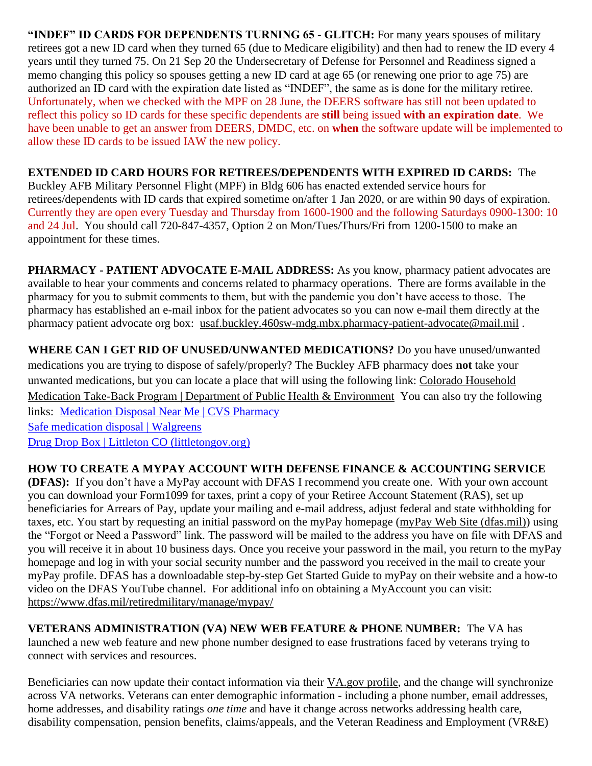**"INDEF" ID CARDS FOR DEPENDENTS TURNING 65 - GLITCH:** For many years spouses of military retirees got a new ID card when they turned 65 (due to Medicare eligibility) and then had to renew the ID every 4 years until they turned 75. On 21 Sep 20 the Undersecretary of Defense for Personnel and Readiness signed a memo changing this policy so spouses getting a new ID card at age 65 (or renewing one prior to age 75) are authorized an ID card with the expiration date listed as "INDEF", the same as is done for the military retiree. Unfortunately, when we checked with the MPF on 28 June, the DEERS software has still not been updated to reflect this policy so ID cards for these specific dependents are **still** being issued **with an expiration date**. We have been unable to get an answer from DEERS, DMDC, etc. on **when** the software update will be implemented to allow these ID cards to be issued IAW the new policy.

### **EXTENDED ID CARD HOURS FOR RETIREES/DEPENDENTS WITH EXPIRED ID CARDS:** The

Buckley AFB Military Personnel Flight (MPF) in Bldg 606 has enacted extended service hours for retirees/dependents with ID cards that expired sometime on/after 1 Jan 2020, or are within 90 days of expiration. Currently they are open every Tuesday and Thursday from 1600-1900 and the following Saturdays 0900-1300: 10 and 24 Jul. You should call 720-847-4357, Option 2 on Mon/Tues/Thurs/Fri from 1200-1500 to make an appointment for these times.

**PHARMACY - PATIENT ADVOCATE E-MAIL ADDRESS:** As you know, pharmacy patient advocates are available to hear your comments and concerns related to pharmacy operations. There are forms available in the pharmacy for you to submit comments to them, but with the pandemic you don't have access to those. The pharmacy has established an e-mail inbox for the patient advocates so you can now e-mail them directly at the pharmacy patient advocate org box: [usaf.buckley.460sw-mdg.mbx.pharmacy-patient-advocate@mail.mil](mailto:usaf.buckley.460sw-mdg.mbx.pharmacy-patient-advocate@mail.mil).

**WHERE CAN I GET RID OF UNUSED/UNWANTED MEDICATIONS?** Do you have unused/unwanted medications you are trying to dispose of safely/properly? The Buckley AFB pharmacy does **not** take your unwanted medications, but you can locate a place that will using the following link: [Colorado Household](https://cdphe.colorado.gov/colorado-medication-take-back-program)  [Medication Take-Back Program | Department of Public Health & Environment](https://cdphe.colorado.gov/colorado-medication-take-back-program) You can also try the following links: [Medication Disposal Near Me | CVS Pharmacy](https://www.cvs.com/content/safer-communities-locate) [Safe medication disposal | Walgreens](https://www.walgreens.com/topic/pharmacy/safe-medication-disposal.jsp)

[Drug Drop Box | Littleton CO \(littletongov.org\)](https://www.littletongov.org/city-services/city-departments/police-department/programs-services/drug-drop-box)

# **HOW TO CREATE A MYPAY ACCOUNT WITH DEFENSE FINANCE & ACCOUNTING SERVICE**

**(DFAS):** If you don't have a MyPay account with DFAS I recommend you create one. With your own account you can download your Form1099 for taxes, print a copy of your Retiree Account Statement (RAS), set up beneficiaries for Arrears of Pay, update your mailing and e-mail address, adjust federal and state withholding for taxes, etc. You start by requesting an initial password on the myPay homepage [\(myPay Web Site \(dfas.mil\)\)](https://mypay.dfas.mil/#/) using the "Forgot or Need a Password" link. The password will be mailed to the address you have on file with DFAS and you will receive it in about 10 business days. Once you receive your password in the mail, you return to the myPay homepage and log in with your social security number and the password you received in the mail to create your myPay profile. DFAS has a downloadable step-by-step Get Started Guide to myPay on their website and a how-to video on the DFAS YouTube channel. For additional info on obtaining a MyAccount you can visit: <https://www.dfas.mil/retiredmilitary/manage/mypay/>

**VETERANS ADMINISTRATION (VA) NEW WEB FEATURE & PHONE NUMBER:** The VA has launched a new web feature and new phone number designed to ease frustrations faced by veterans trying to connect with services and resources.

Beneficiaries can now update their contact information via their [VA.gov](https://www.va.gov/change-address/) profile, and the change will synchronize across VA networks. Veterans can enter demographic information - including a phone number, email addresses, home addresses, and disability ratings *one time* and have it change across networks addressing health care, disability compensation, pension benefits, claims/appeals, and the Veteran Readiness and Employment (VR&E)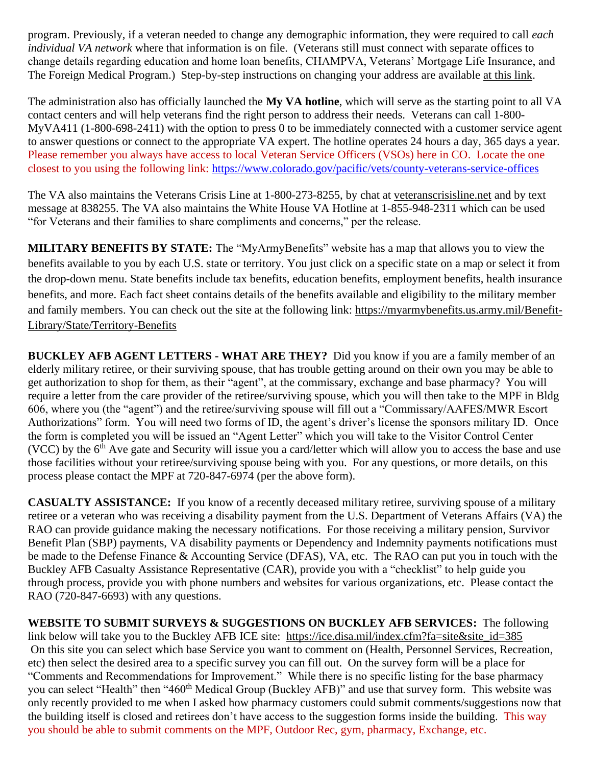program. Previously, if a veteran needed to change any demographic information, they were required to call *each individual VA network* where that information is on file. (Veterans still must connect with separate offices to change details regarding education and home loan benefits, CHAMPVA, Veterans' Mortgage Life Insurance, and The Foreign Medical Program.) Step-by-step instructions on changing your address are available at this [link.](https://www.va.gov/change-address/)

The administration also has officially launched the **My VA hotline**, which will serve as the starting point to all VA contact centers and will help veterans find the right person to address their needs. Veterans can call 1-800- MyVA411 (1-800-698-2411) with the option to press 0 to be immediately connected with a customer service agent to answer questions or connect to the appropriate VA expert. The hotline operates 24 hours a day, 365 days a year. Please remember you always have access to local Veteran Service Officers (VSOs) here in CO. Locate the one closest to you using the following link:<https://www.colorado.gov/pacific/vets/county-veterans-service-offices>

The VA also maintains the Veterans Crisis Line at 1-800-273-8255, by chat at [veteranscrisisline.net](https://www.va.gov/opa/pressrel/pressrelease.cfm?id=5588) and by text message at 838255. The VA also maintains the White House VA Hotline at 1-855-948-2311 which can be used "for Veterans and their families to share compliments and concerns," per the release.

**MILITARY BENEFITS BY STATE:** The "MyArmyBenefits" website has a map that allows you to view the benefits available to you by each U.S. state or territory. You just click on a specific state on a map or select it from the drop-down menu. State benefits include tax benefits, education benefits, employment benefits, health insurance benefits, and more. Each fact sheet contains details of the benefits available and eligibility to the military member and family members. You can check out the site at the following link: [https://myarmybenefits.us.army.mil/Benefit-](https://myarmybenefits.us.army.mil/Benefit-Library/State/Territory-Benefits)[Library/State/Territory-Benefits](https://myarmybenefits.us.army.mil/Benefit-Library/State/Territory-Benefits)

**BUCKLEY AFB AGENT LETTERS - WHAT ARE THEY?** Did you know if you are a family member of an elderly military retiree, or their surviving spouse, that has trouble getting around on their own you may be able to get authorization to shop for them, as their "agent", at the commissary, exchange and base pharmacy? You will require a letter from the care provider of the retiree/surviving spouse, which you will then take to the MPF in Bldg 606, where you (the "agent") and the retiree/surviving spouse will fill out a "Commissary/AAFES/MWR Escort Authorizations" form. You will need two forms of ID, the agent's driver's license the sponsors military ID. Once the form is completed you will be issued an "Agent Letter" which you will take to the Visitor Control Center (VCC) by the  $6<sup>th</sup>$  Ave gate and Security will issue you a card/letter which will allow you to access the base and use those facilities without your retiree/surviving spouse being with you. For any questions, or more details, on this process please contact the MPF at 720-847-6974 (per the above form).

**CASUALTY ASSISTANCE:** If you know of a recently deceased military retiree, surviving spouse of a military retiree or a veteran who was receiving a disability payment from the U.S. Department of Veterans Affairs (VA) the RAO can provide guidance making the necessary notifications. For those receiving a military pension, Survivor Benefit Plan (SBP) payments, VA disability payments or Dependency and Indemnity payments notifications must be made to the Defense Finance & Accounting Service (DFAS), VA, etc. The RAO can put you in touch with the Buckley AFB Casualty Assistance Representative (CAR), provide you with a "checklist" to help guide you through process, provide you with phone numbers and websites for various organizations, etc. Please contact the RAO (720-847-6693) with any questions.

**WEBSITE TO SUBMIT SURVEYS & SUGGESTIONS ON BUCKLEY AFB SERVICES:** The following link below will take you to the Buckley AFB ICE site: [https://ice.disa.mil/index.cfm?fa=site&site\\_id=385](https://ice.disa.mil/index.cfm?fa=site&site_id=385) On this site you can select which base Service you want to comment on (Health, Personnel Services, Recreation, etc) then select the desired area to a specific survey you can fill out. On the survey form will be a place for "Comments and Recommendations for Improvement." While there is no specific listing for the base pharmacy you can select "Health" then "460<sup>th</sup> Medical Group (Buckley AFB)" and use that survey form. This website was only recently provided to me when I asked how pharmacy customers could submit comments/suggestions now that the building itself is closed and retirees don't have access to the suggestion forms inside the building. This way you should be able to submit comments on the MPF, Outdoor Rec, gym, pharmacy, Exchange, etc.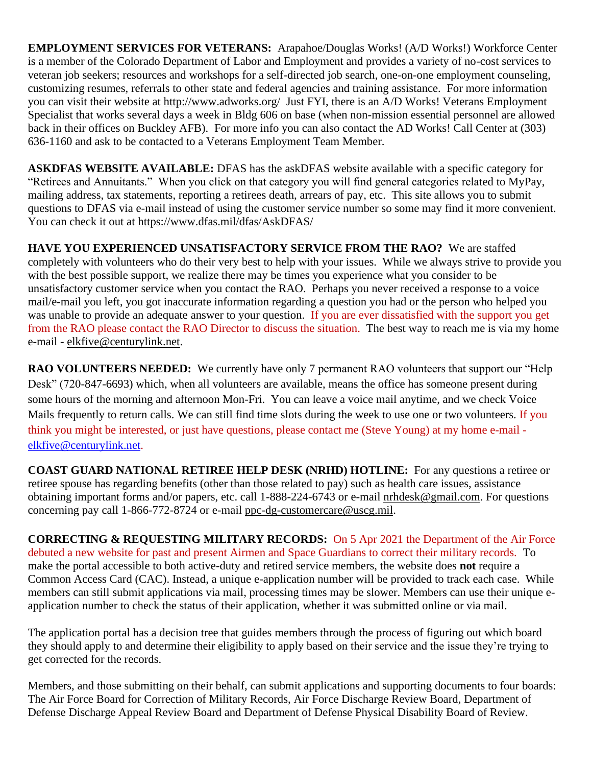**EMPLOYMENT SERVICES FOR VETERANS:** Arapahoe/Douglas Works! (A/D Works!) Workforce Center is a member of the Colorado Department of Labor and Employment and provides a variety of no-cost services to veteran job seekers; resources and workshops for a self-directed job search, one-on-one employment counseling, customizing resumes, referrals to other state and federal agencies and training assistance. For more information you can visit their website at<http://www.adworks.org/>Just FYI, there is an A/D Works! Veterans Employment Specialist that works several days a week in Bldg 606 on base (when non-mission essential personnel are allowed back in their offices on Buckley AFB). For more info you can also contact the AD Works! Call Center at (303) 636-1160 and ask to be contacted to a Veterans Employment Team Member.

**ASKDFAS WEBSITE AVAILABLE:** DFAS has the askDFAS website available with a specific category for "Retirees and Annuitants." When you click on that category you will find general categories related to MyPay, mailing address, tax statements, reporting a retirees death, arrears of pay, etc. This site allows you to submit questions to DFAS via e-mail instead of using the customer service number so some may find it more convenient. You can check it out at<https://www.dfas.mil/dfas/AskDFAS/>

**HAVE YOU EXPERIENCED UNSATISFACTORY SERVICE FROM THE RAO?** We are staffed completely with volunteers who do their very best to help with your issues. While we always strive to provide you with the best possible support, we realize there may be times you experience what you consider to be unsatisfactory customer service when you contact the RAO. Perhaps you never received a response to a voice mail/e-mail you left, you got inaccurate information regarding a question you had or the person who helped you was unable to provide an adequate answer to your question. If you are ever dissatisfied with the support you get from the RAO please contact the RAO Director to discuss the situation. The best way to reach me is via my home e-mail - [elkfive@centurylink.net.](mailto:elkfive@centurylink.net)

**RAO VOLUNTEERS NEEDED:** We currently have only 7 permanent RAO volunteers that support our "Help" Desk" (720-847-6693) which, when all volunteers are available, means the office has someone present during some hours of the morning and afternoon Mon-Fri. You can leave a voice mail anytime, and we check Voice Mails frequently to return calls. We can still find time slots during the week to use one or two volunteers. If you think you might be interested, or just have questions, please contact me (Steve Young) at my home e-mail [elkfive@centurylink.net.](mailto:elkfive@centurylink.net)

**COAST GUARD NATIONAL RETIREE HELP DESK (NRHD) HOTLINE:** For any questions a retiree or retiree spouse has regarding benefits (other than those related to pay) such as health care issues, assistance obtaining important forms and/or papers, etc. call 1-888-224-6743 or e-mail [nrhdesk@gmail.com.](mailto:nrhdesk@gmail.com) For questions concerning pay call 1-866-772-8724 or e-mail [ppc-dg-customercare@uscg.mil.](mailto:ppc-dg-customercare@uscg.mil)

**CORRECTING & REQUESTING MILITARY RECORDS:** On 5 Apr 2021 the Department of the Air Force debuted a new website for past and present Airmen and Space Guardians to correct their military records. To make the portal accessible to both active-duty and retired service members, the website does **not** require a Common Access Card (CAC). Instead, a unique e-application number will be provided to track each case. While members can still submit applications via mail, processing times may be slower. Members can use their unique eapplication number to check the status of their application, whether it was submitted online or via mail.

The application portal has a decision tree that guides members through the process of figuring out which board they should apply to and determine their eligibility to apply based on their service and the issue they're trying to get corrected for the records.

Members, and those submitting on their behalf, can submit applications and supporting documents to four boards: The Air Force Board for Correction of Military Records, Air Force Discharge Review Board, Department of Defense Discharge Appeal Review Board and Department of Defense Physical Disability Board of Review.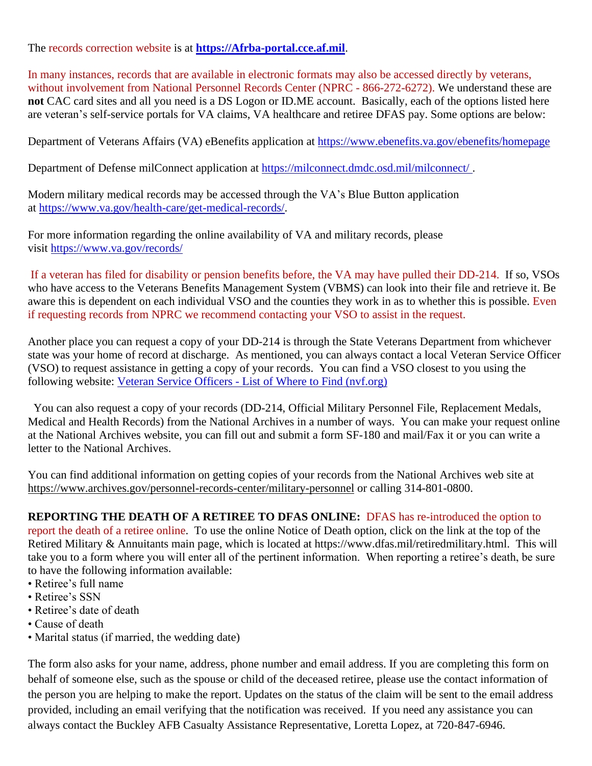The records correction website is at **[https://Afrba-portal.cce.af.mil](https://afrba-portal.cce.af.mil/)**.

In many instances, records that are available in electronic formats may also be accessed directly by veterans, without involvement from National Personnel Records Center (NPRC - 866-272-6272). We understand these are **not** CAC card sites and all you need is a DS Logon or ID.ME account. Basically, each of the options listed here are veteran's self-service portals for VA claims, VA healthcare and retiree DFAS pay. Some options are below:

Department of Veterans Affairs (VA) eBenefits application at [https://www.ebenefits.va.gov/ebenefits/homepage](https://gcc02.safelinks.protection.outlook.com/?url=https%3A%2F%2Fwww.ebenefits.va.gov%2Febenefits%2Fhomepage&data=04%7C01%7CJMedina%40arapahoegov.com%7C4ba6a9bb0f614d20689d08d8f4881a52%7C57d7b626d71d47f684c1c43bda19ba16%7C1%7C0%7C637528212705904594%7CUnknown%7CTWFpbGZsb3d8eyJWIjoiMC4wLjAwMDAiLCJQIjoiV2luMzIiLCJBTiI6Ik1haWwiLCJXVCI6Mn0%3D%7C1000&sdata=hXw9dmDwVyyfMT6CLAKjNC7ErxQaRPjSNwpBd6NAZQE%3D&reserved=0)

Department of Defense milConnect application at [https://milconnect.dmdc.osd.mil/milconnect/](https://gcc02.safelinks.protection.outlook.com/?url=https%3A%2F%2Fmilconnect.dmdc.osd.mil%2Fmilconnect%2F&data=04%7C01%7CJMedina%40arapahoegov.com%7C4ba6a9bb0f614d20689d08d8f4881a52%7C57d7b626d71d47f684c1c43bda19ba16%7C1%7C0%7C637528212705914549%7CUnknown%7CTWFpbGZsb3d8eyJWIjoiMC4wLjAwMDAiLCJQIjoiV2luMzIiLCJBTiI6Ik1haWwiLCJXVCI6Mn0%3D%7C1000&sdata=Eov1Utj64StS5R1dMb%2F4BZh07Y6ue08qLBwOJlppgzs%3D&reserved=0).

Modern military medical records may be accessed through the VA's Blue Button application at [https://www.va.gov/health-care/get-medical-records/.](https://gcc02.safelinks.protection.outlook.com/?url=https%3A%2F%2Fwww.va.gov%2Fhealth-care%2Fget-medical-records%2F&data=04%7C01%7CJMedina%40arapahoegov.com%7C4ba6a9bb0f614d20689d08d8f4881a52%7C57d7b626d71d47f684c1c43bda19ba16%7C1%7C0%7C637528212705914549%7CUnknown%7CTWFpbGZsb3d8eyJWIjoiMC4wLjAwMDAiLCJQIjoiV2luMzIiLCJBTiI6Ik1haWwiLCJXVCI6Mn0%3D%7C1000&sdata=ZscT%2FLEpaJZRPKyOrDzvuwAjP4QuxW2MrNoew0X87%2BU%3D&reserved=0)

For more information regarding the online availability of VA and military records, please visit [https://www.va.gov/records/](https://gcc02.safelinks.protection.outlook.com/?url=https%3A%2F%2Fwww.va.gov%2Frecords%2F&data=04%7C01%7CJMedina%40arapahoegov.com%7C4ba6a9bb0f614d20689d08d8f4881a52%7C57d7b626d71d47f684c1c43bda19ba16%7C1%7C0%7C637528212705914549%7CUnknown%7CTWFpbGZsb3d8eyJWIjoiMC4wLjAwMDAiLCJQIjoiV2luMzIiLCJBTiI6Ik1haWwiLCJXVCI6Mn0%3D%7C1000&sdata=T26BlYnzbcJfnkz0lJD8hvNO988S%2BhMVRIXbJfmmpbA%3D&reserved=0)

If a veteran has filed for disability or pension benefits before, the VA may have pulled their DD-214. If so, VSOs who have access to the Veterans Benefits Management System (VBMS) can look into their file and retrieve it. Be aware this is dependent on each individual VSO and the counties they work in as to whether this is possible. Even if requesting records from NPRC we recommend contacting your VSO to assist in the request.

Another place you can request a copy of your DD-214 is through the State Veterans Department from whichever state was your home of record at discharge. As mentioned, you can always contact a local Veteran Service Officer (VSO) to request assistance in getting a copy of your records. You can find a VSO closest to you using the following website: Veteran Service Officers - List of Where to Find [\(nvf.org\)](https://nvf.org/veteran-service-officers/)

 You can also request a copy of your records (DD-214, Official Military Personnel File, Replacement Medals, Medical and Health Records) from the National Archives in a number of ways. You can make your request online at the National Archives website, you can fill out and submit a form SF-180 and mail/Fax it or you can write a letter to the National Archives.

You can find additional information on getting copies of your records from the National Archives web site at <https://www.archives.gov/personnel-records-center/military-personnel> or calling 314-801-0800.

## **REPORTING THE DEATH OF A RETIREE TO DFAS ONLINE:** DFAS has re-introduced the option to

report the death of a retiree online. To use the online Notice of Death option, click on the link at the top of the Retired Military & Annuitants main page, which is located at https://www.dfas.mil/retiredmilitary.html. This will take you to a form where you will enter all of the pertinent information. When reporting a retiree's death, be sure to have the following information available:

- Retiree's full name
- Retiree's SSN
- Retiree's date of death
- Cause of death
- Marital status (if married, the wedding date)

The form also asks for your name, address, phone number and email address. If you are completing this form on behalf of someone else, such as the spouse or child of the deceased retiree, please use the contact information of the person you are helping to make the report. Updates on the status of the claim will be sent to the email address provided, including an email verifying that the notification was received. If you need any assistance you can always contact the Buckley AFB Casualty Assistance Representative, Loretta Lopez, at 720-847-6946.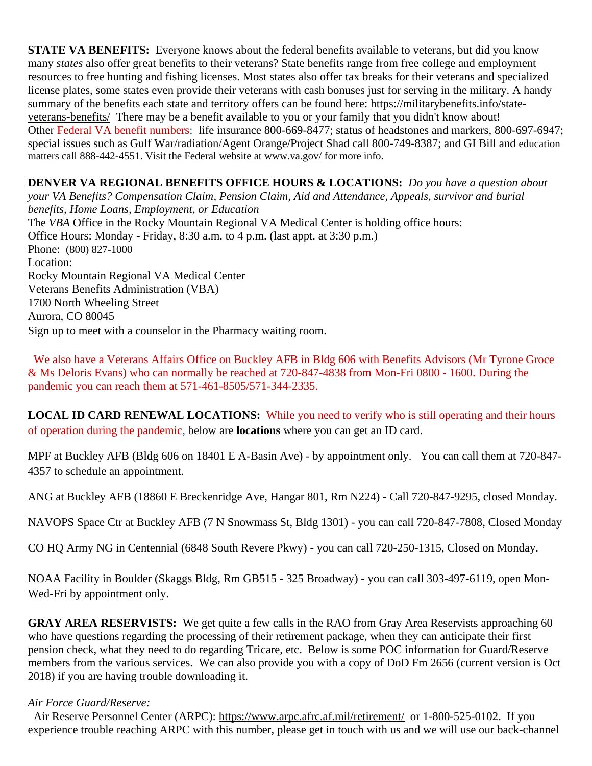**STATE VA BENEFITS:** Everyone knows about the federal benefits available to veterans, but did you know many *states* also offer great benefits to their veterans? State benefits range from free college and employment resources to free hunting and fishing licenses. Most states also offer tax breaks for their veterans and specialized license plates, some states even provide their veterans with cash bonuses just for serving in the military. A handy summary of the benefits each state and territory offers can be found here: [https://militarybenefits.info/state](https://militarybenefits.info/state-veterans-benefits/)[veterans-benefits/](https://militarybenefits.info/state-veterans-benefits/) There may be a benefit available to you or your family that you didn't know about! Other Federal VA benefit numbers: life insurance 800-669-8477; status of headstones and markers, 800-697-6947; special issues such as Gulf War/radiation/Agent Orange/Project Shad call 800-749-8387; and GI Bill and education matters call 888-442-4551. Visit the Federal website at [www.va.gov/](http://www.va.gov/) for more info.

**DENVER VA REGIONAL BENEFITS OFFICE HOURS & LOCATIONS:** *Do you have a question about your VA Benefits? Compensation Claim, Pension Claim, Aid and Attendance, Appeals, survivor and burial benefits, Home Loans, Employment, or Education*  The *VBA* Office in the Rocky Mountain Regional VA Medical Center is holding office hours: Office Hours: Monday - Friday, 8:30 a.m. to 4 p.m. (last appt. at 3:30 p.m.) Phone: [\(800\) 827-1000](https://www.google.com/search?source=hp&ei=1bIFXOnJLePk8APkxJfIDw&q=denver+va+regional+benefits+office+phone+number&oq=Denver+va+regional+benef&gs_l=psy-ab.1.1.0i22i30l4.1057.7073..9944...0.0..0.148.2902.2j23......0....1..gws-wiz.....0..0j0i131j0i10.2DXy9-Yewu0) Location: Rocky Mountain Regional VA Medical Center Veterans Benefits Administration (VBA) 1700 North Wheeling Street Aurora, CO 80045 Sign up to meet with a counselor in the Pharmacy waiting room.

 We also have a Veterans Affairs Office on Buckley AFB in Bldg 606 with Benefits Advisors (Mr Tyrone Groce & Ms Deloris Evans) who can normally be reached at 720-847-4838 from Mon-Fri 0800 - 1600. During the pandemic you can reach them at 571-461-8505/571-344-2335.

**LOCAL ID CARD RENEWAL LOCATIONS:** While you need to verify who is still operating and their hours of operation during the pandemic, below are **locations** where you can get an ID card.

MPF at Buckley AFB (Bldg 606 on 18401 E A-Basin Ave) - by appointment only. You can call them at 720-847- 4357 to schedule an appointment.

ANG at Buckley AFB (18860 E Breckenridge Ave, Hangar 801, Rm N224) - Call 720-847-9295, closed Monday.

NAVOPS Space Ctr at Buckley AFB (7 N Snowmass St, Bldg 1301) - you can call 720-847-7808, Closed Monday

CO HQ Army NG in Centennial (6848 South Revere Pkwy) - you can call 720-250-1315, Closed on Monday.

NOAA Facility in Boulder (Skaggs Bldg, Rm GB515 - 325 Broadway) - you can call 303-497-6119, open Mon-Wed-Fri by appointment only.

**GRAY AREA RESERVISTS:** We get quite a few calls in the RAO from Gray Area Reservists approaching 60 who have questions regarding the processing of their retirement package, when they can anticipate their first pension check, what they need to do regarding Tricare, etc. Below is some POC information for Guard/Reserve members from the various services. We can also provide you with a copy of DoD Fm 2656 (current version is Oct 2018) if you are having trouble downloading it.

#### *Air Force Guard/Reserve:*

 Air Reserve Personnel Center (ARPC): <https://www.arpc.afrc.af.mil/retirement/>or 1-800-525-0102. If you experience trouble reaching ARPC with this number, please get in touch with us and we will use our back-channel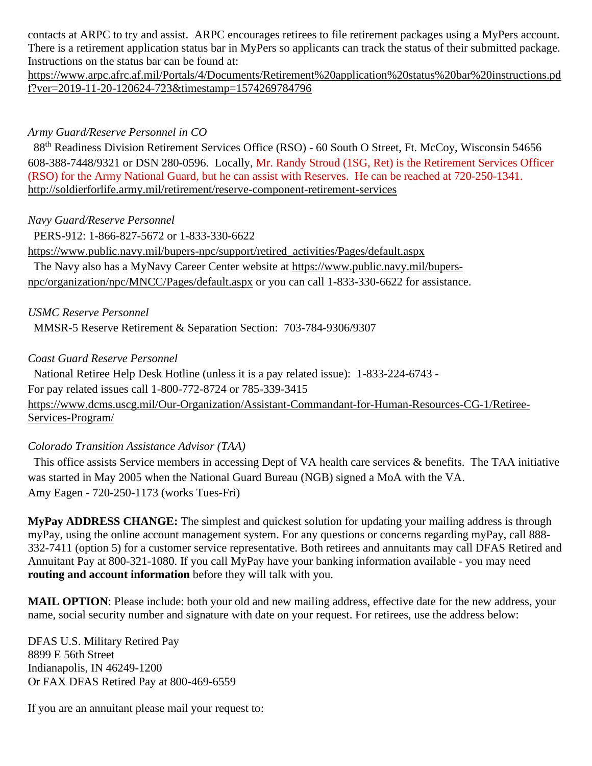contacts at ARPC to try and assist. ARPC encourages retirees to file retirement packages using a MyPers account. There is a retirement application status bar in MyPers so applicants can track the status of their submitted package. Instructions on the status bar can be found at:

[https://www.arpc.afrc.af.mil/Portals/4/Documents/Retirement%20application%20status%20bar%20instructions.pd](https://www.arpc.afrc.af.mil/Portals/4/Documents/Retirement%20application%20status%20bar%20instructions.pdf?ver=2019-11-20-120624-723×tamp=1574269784796) [f?ver=2019-11-20-120624-723&timestamp=1574269784796](https://www.arpc.afrc.af.mil/Portals/4/Documents/Retirement%20application%20status%20bar%20instructions.pdf?ver=2019-11-20-120624-723×tamp=1574269784796)

### *Army Guard/Reserve Personnel in CO*

88<sup>th</sup> Readiness Division Retirement Services Office (RSO) - 60 South O Street, Ft. McCoy, Wisconsin 54656 608-388-7448/9321 or DSN 280-0596. Locally, Mr. Randy Stroud (1SG, Ret) is the Retirement Services Officer (RSO) for the Army National Guard, but he can assist with Reserves. He can be reached at 720-250-1341. <http://soldierforlife.army.mil/retirement/reserve-component-retirement-services>

### *Navy Guard/Reserve Personnel*

 PERS-912: 1-866-827-5672 or 1-833-330-6622 [https://www.public.navy.mil/bupers-npc/support/retired\\_activities/Pages/default.aspx](https://www.public.navy.mil/bupers-npc/support/retired_activities/Pages/default.aspx) The Navy also has a MyNavy Career Center website at [https://www.public.navy.mil/bupers](https://www.public.navy.mil/bupers-npc/organization/npc/MNCC/Pages/default.aspx)[npc/organization/npc/MNCC/Pages/default.aspx](https://www.public.navy.mil/bupers-npc/organization/npc/MNCC/Pages/default.aspx) or you can call 1-833-330-6622 for assistance.

*USMC Reserve Personnel*

MMSR-5 Reserve Retirement & Separation Section: 703-784-9306/9307

#### *Coast Guard Reserve Personnel*

 National Retiree Help Desk Hotline (unless it is a pay related issue): 1-833-224-6743 - For pay related issues call 1-800-772-8724 or 785-339-3415 [https://www.dcms.uscg.mil/Our-Organization/Assistant-Commandant-for-Human-Resources-CG-1/Retiree-](https://www.dcms.uscg.mil/Our-Organization/Assistant-Commandant-for-Human-Resources-CG-1/Retiree-Services-Program/)[Services-Program/](https://www.dcms.uscg.mil/Our-Organization/Assistant-Commandant-for-Human-Resources-CG-1/Retiree-Services-Program/)

#### *Colorado Transition Assistance Advisor (TAA)*

 This office assists Service members in accessing Dept of VA health care services & benefits. The TAA initiative was started in May 2005 when the National Guard Bureau (NGB) signed a MoA with the VA. Amy Eagen - 720-250-1173 (works Tues-Fri)

**MyPay ADDRESS CHANGE:** The simplest and quickest solution for updating your mailing address is through myPay, using the online account management system. For any questions or concerns regarding myPay, call 888- 332-7411 (option 5) for a customer service representative. Both retirees and annuitants may call DFAS Retired and Annuitant Pay at 800-321-1080. If you call MyPay have your banking information available - you may need **routing and account information** before they will talk with you.

**MAIL OPTION**: Please include: both your old and new mailing address, effective date for the new address, your name, social security number and signature with date on your request. For retirees, use the address below:

DFAS U.S. Military Retired Pay 8899 E 56th Street Indianapolis, IN 46249-1200 Or FAX DFAS Retired Pay at 800-469-6559

If you are an annuitant please mail your request to: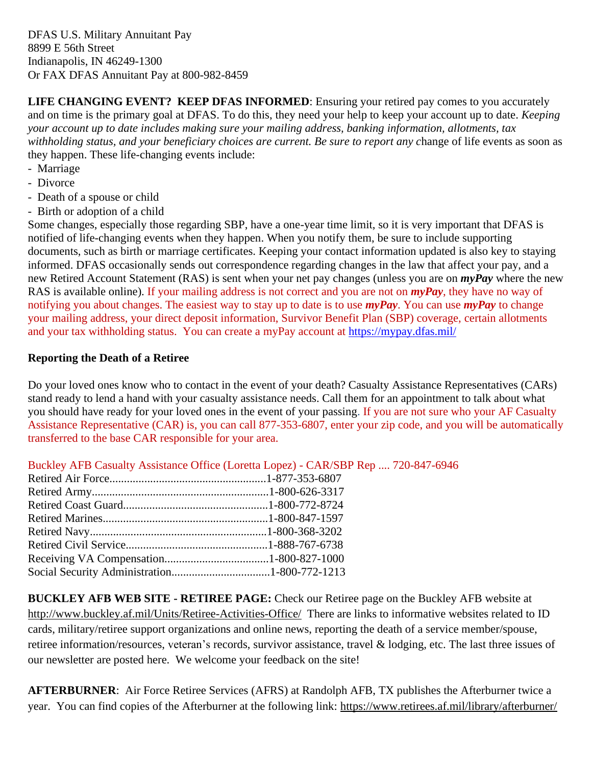DFAS U.S. Military Annuitant Pay 8899 E 56th Street Indianapolis, IN 46249-1300 Or FAX DFAS Annuitant Pay at 800-982-8459

**LIFE CHANGING EVENT? KEEP DFAS INFORMED:** Ensuring your retired pay comes to you accurately and on time is the primary goal at DFAS. To do this, they need your help to keep your account up to date. *Keeping your account up to date includes making sure your mailing address, banking information, allotments, tax*  withholding status, and your beneficiary choices are current. Be sure to report any change of life events as soon as they happen. These life-changing events include:

- Marriage
- Divorce
- Death of a spouse or child
- Birth or adoption of a child

Some changes, especially those regarding SBP, have a one-year time limit, so it is very important that DFAS is notified of life-changing events when they happen. When you notify them, be sure to include supporting documents, such as birth or marriage certificates. Keeping your contact information updated is also key to staying informed. DFAS occasionally sends out correspondence regarding changes in the law that affect your pay, and a new Retired Account Statement (RAS) is sent when your net pay changes (unless you are on *myPay* where the new RAS is available online). If your mailing address is not correct and you are not on *myPay*, they have no way of notifying you about changes. The easiest way to stay up to date is to use *myPay*. You can use *myPay* to change your mailing address, your direct deposit information, Survivor Benefit Plan (SBP) coverage, certain allotments and your tax withholding status. You can create a myPay account at <https://mypay.dfas.mil/>

#### **Reporting the Death of a Retiree**

Do your loved ones know who to contact in the event of your death? Casualty Assistance Representatives (CARs) stand ready to lend a hand with your casualty assistance needs. Call them for an appointment to talk about what you should have ready for your loved ones in the event of your passing. If you are not sure who your AF Casualty Assistance Representative (CAR) is, you can call 877-353-6807, enter your zip code, and you will be automatically transferred to the base CAR responsible for your area.

Buckley AFB Casualty Assistance Office (Loretta Lopez) - CAR/SBP Rep .... 720-847-6946

**BUCKLEY AFB WEB SITE - RETIREE PAGE:** Check our Retiree page on the Buckley AFB website at <http://www.buckley.af.mil/Units/Retiree-Activities-Office/> There are links to informative websites related to ID cards, military/retiree support organizations and online news, reporting the death of a service member/spouse, retiree information/resources, veteran's records, survivor assistance, travel & lodging, etc. The last three issues of our newsletter are posted here. We welcome your feedback on the site!

**AFTERBURNER**: Air Force Retiree Services (AFRS) at Randolph AFB, TX publishes the Afterburner twice a year. You can find copies of the Afterburner at the following link:<https://www.retirees.af.mil/library/afterburner/>